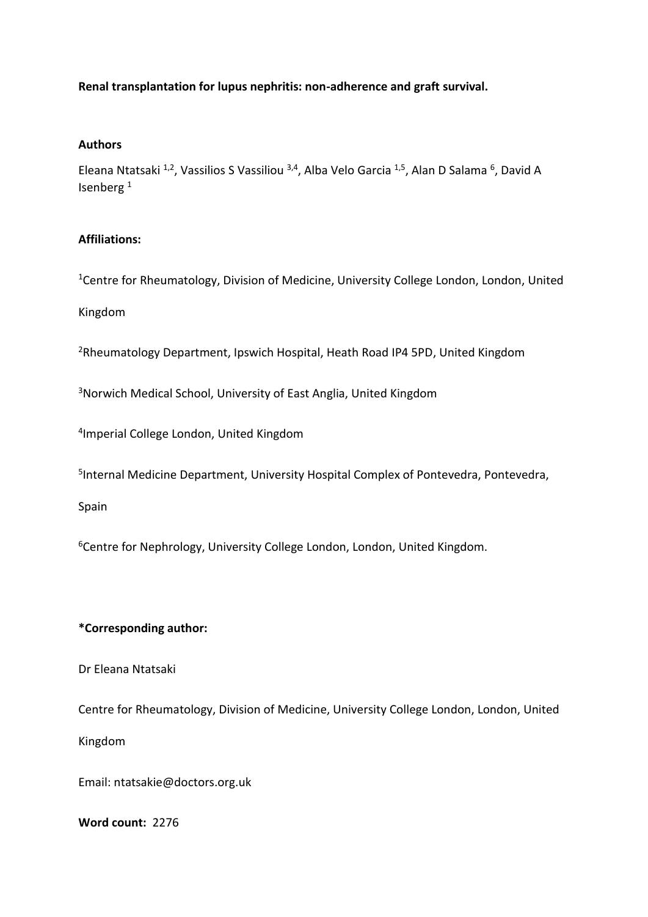# **Renal transplantation for lupus nephritis: non-adherence and graft survival.**

### **Authors**

Eleana Ntatsaki  $^{1,2}$ , Vassilios S Vassiliou  $^{3,4}$ , Alba Velo Garcia  $^{1,5}$ , Alan D Salama  $^6$ , David A Isenberg <sup>1</sup>

## **Affiliations:**

<sup>1</sup>Centre for Rheumatology, Division of Medicine, University College London, London, United

Kingdom

<sup>2</sup>Rheumatology Department, Ipswich Hospital, Heath Road IP4 5PD, United Kingdom

<sup>3</sup>Norwich Medical School, University of East Anglia, United Kingdom

4 Imperial College London, United Kingdom

5 Internal Medicine Department, University Hospital Complex of Pontevedra, Pontevedra,

Spain

<sup>6</sup>Centre for Nephrology, University College London, London, United Kingdom.

## **\*Corresponding author:**

Dr Eleana Ntatsaki

Centre for Rheumatology, Division of Medicine, University College London, London, United Kingdom

Email: [ntatsakie@doctors.org.uk](mailto:ntatsakie@doctors.org.uk)

### **Word count:** 2276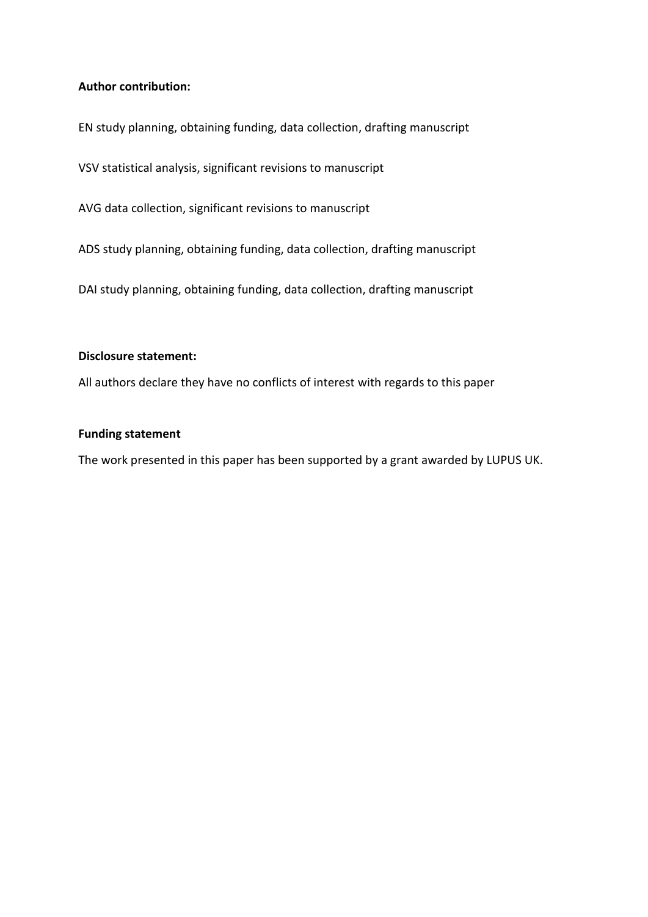# **Author contribution:**

EN study planning, obtaining funding, data collection, drafting manuscript

VSV statistical analysis, significant revisions to manuscript

AVG data collection, significant revisions to manuscript

ADS study planning, obtaining funding, data collection, drafting manuscript

DAI study planning, obtaining funding, data collection, drafting manuscript

### **Disclosure statement:**

All authors declare they have no conflicts of interest with regards to this paper

### **Funding statement**

The work presented in this paper has been supported by a grant awarded by LUPUS UK.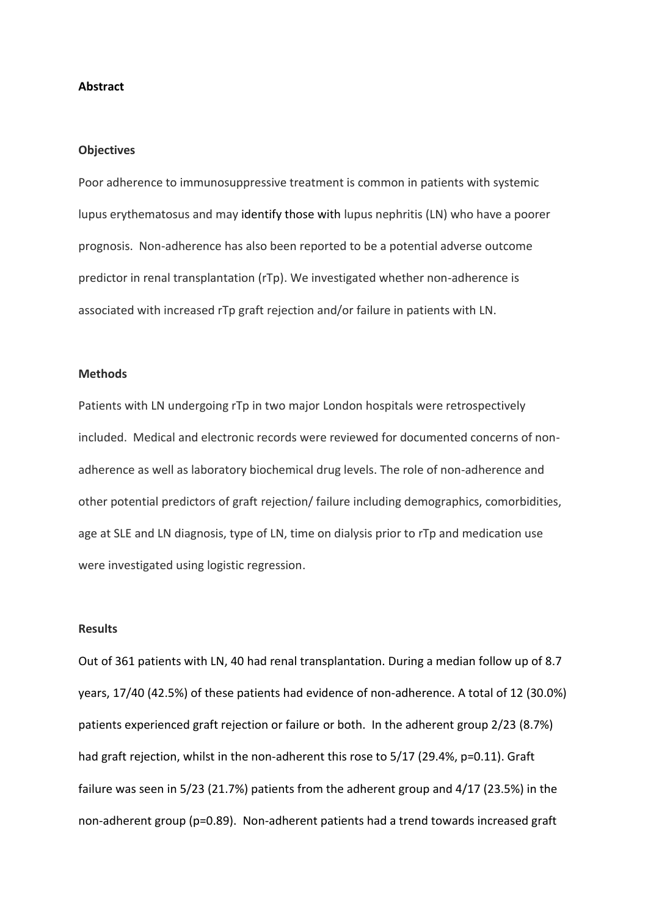#### **Abstract**

#### **Objectives**

Poor adherence to immunosuppressive treatment is common in patients with systemic lupus erythematosus and may identify those with lupus nephritis (LN) who have a poorer prognosis. Non-adherence has also been reported to be a potential adverse outcome predictor in renal transplantation (rTp). We investigated whether non-adherence is associated with increased rTp graft rejection and/or failure in patients with LN.

### **Methods**

Patients with LN undergoing rTp in two major London hospitals were retrospectively included. Medical and electronic records were reviewed for documented concerns of nonadherence as well as laboratory biochemical drug levels. The role of non-adherence and other potential predictors of graft rejection/ failure including demographics, comorbidities, age at SLE and LN diagnosis, type of LN, time on dialysis prior to rTp and medication use were investigated using logistic regression.

### **Results**

Out of 361 patients with LN, 40 had renal transplantation. During a median follow up of 8.7 years, 17/40 (42.5%) of these patients had evidence of non-adherence. A total of 12 (30.0%) patients experienced graft rejection or failure or both. In the adherent group 2/23 (8.7%) had graft rejection, whilst in the non-adherent this rose to 5/17 (29.4%, p=0.11). Graft failure was seen in 5/23 (21.7%) patients from the adherent group and 4/17 (23.5%) in the non-adherent group (p=0.89). Non-adherent patients had a trend towards increased graft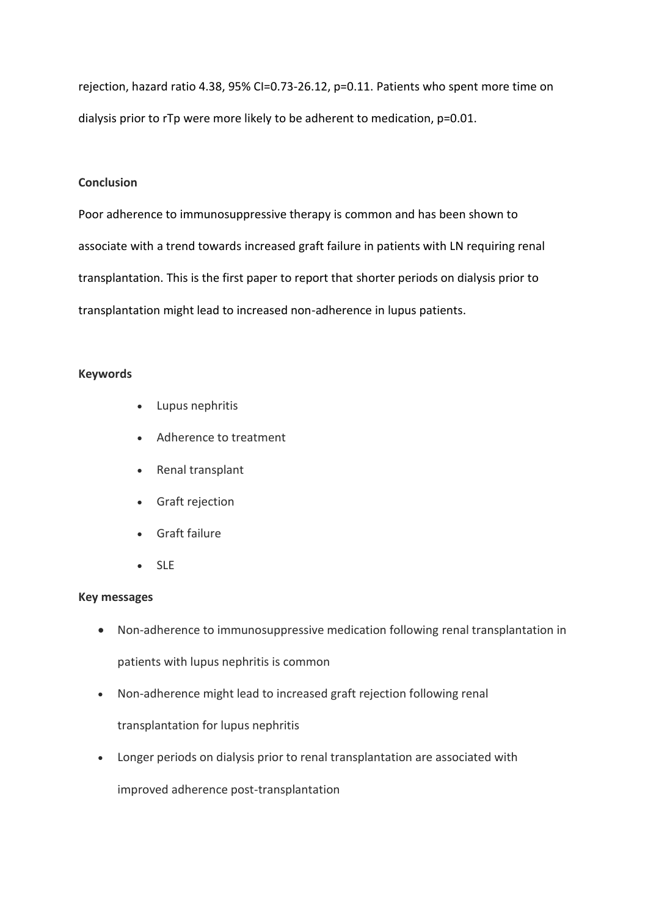rejection, hazard ratio 4.38, 95% CI=0.73-26.12, p=0.11. Patients who spent more time on dialysis prior to rTp were more likely to be adherent to medication, p=0.01.

## **Conclusion**

Poor adherence to immunosuppressive therapy is common and has been shown to associate with a trend towards increased graft failure in patients with LN requiring renal transplantation. This is the first paper to report that shorter periods on dialysis prior to transplantation might lead to increased non-adherence in lupus patients.

## **Keywords**

- Lupus nephritis
- Adherence to treatment
- Renal transplant
- Graft rejection
- Graft failure
- SLE

## **Key messages**

- Non-adherence to immunosuppressive medication following renal transplantation in patients with lupus nephritis is common
- Non-adherence might lead to increased graft rejection following renal

transplantation for lupus nephritis

• Longer periods on dialysis prior to renal transplantation are associated with

improved adherence post-transplantation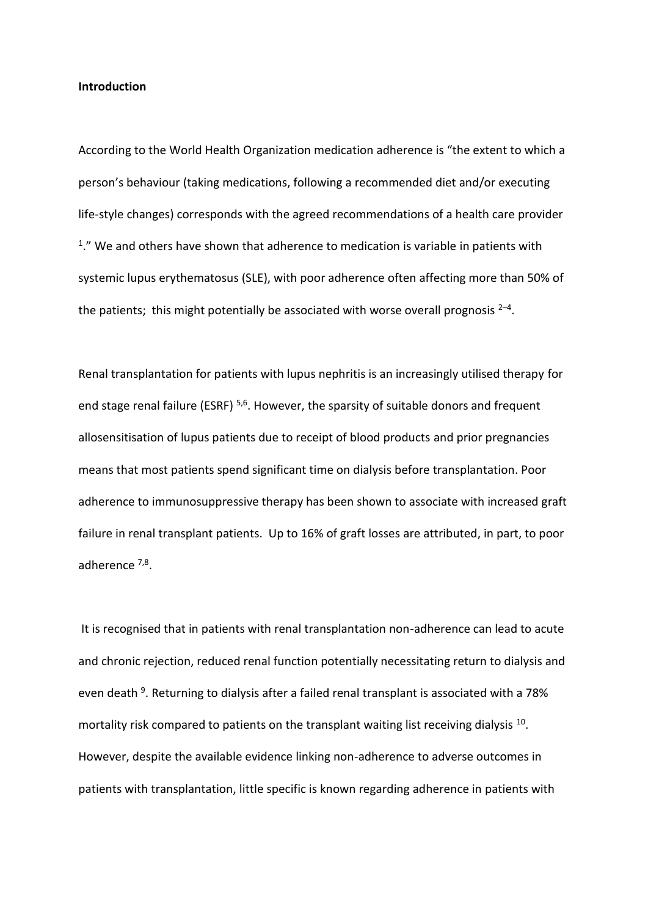#### **Introduction**

According to the World Health Organization medication adherence is "the extent to which a person's behaviour (taking medications, following a recommended diet and/or executing life-style changes) corresponds with the agreed recommendations of a health care provider <sup>1</sup>." We and others have shown that adherence to medication is variable in patients with systemic lupus erythematosus (SLE), with poor adherence often affecting more than 50% of the patients; this might potentially be associated with worse overall prognosis  $2-4$ .

Renal transplantation for patients with lupus nephritis is an increasingly utilised therapy for end stage renal failure (ESRF)<sup>5,6</sup>. However, the sparsity of suitable donors and frequent allosensitisation of lupus patients due to receipt of blood products and prior pregnancies means that most patients spend significant time on dialysis before transplantation. Poor adherence to immunosuppressive therapy has been shown to associate with increased graft failure in renal transplant patients. Up to 16% of graft losses are attributed, in part, to poor adherence <sup>7,8</sup>.

It is recognised that in patients with renal transplantation non-adherence can lead to acute and chronic rejection, reduced renal function potentially necessitating return to dialysis and even death <sup>9</sup>. Returning to dialysis after a failed renal transplant is associated with a 78% mortality risk compared to patients on the transplant waiting list receiving dialysis  $^{10}$ . However, despite the available evidence linking non-adherence to adverse outcomes in patients with transplantation, little specific is known regarding adherence in patients with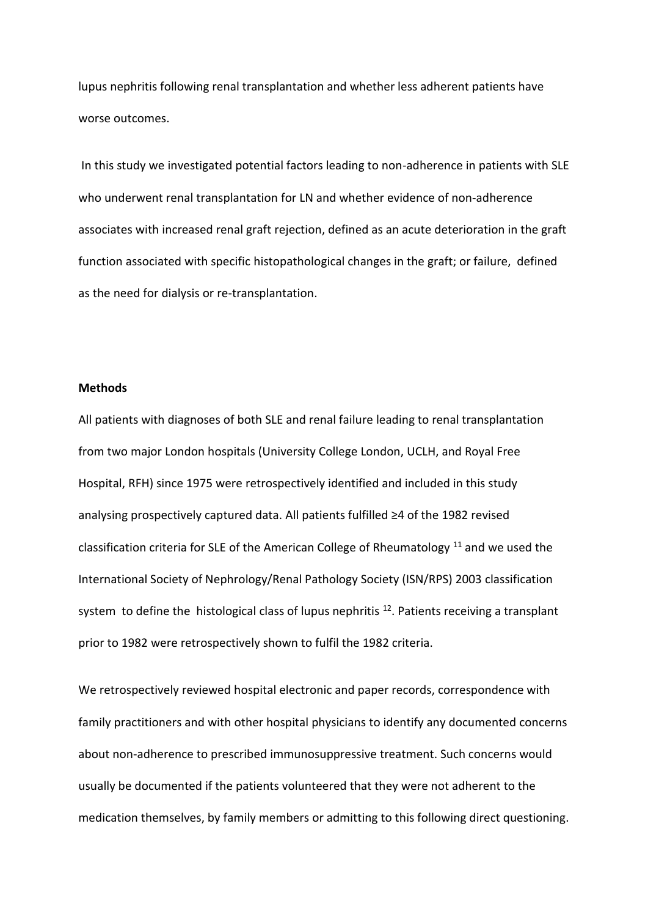lupus nephritis following renal transplantation and whether less adherent patients have worse outcomes.

In this study we investigated potential factors leading to non-adherence in patients with SLE who underwent renal transplantation for LN and whether evidence of non-adherence associates with increased renal graft rejection, defined as an acute deterioration in the graft function associated with specific histopathological changes in the graft; or failure, defined as the need for dialysis or re-transplantation.

### **Methods**

All patients with diagnoses of both SLE and renal failure leading to renal transplantation from two major London hospitals (University College London, UCLH, and Royal Free Hospital, RFH) since 1975 were retrospectively identified and included in this study analysing prospectively captured data. All patients fulfilled ≥4 of the 1982 revised classification criteria for SLE of the American College of Rheumatology  $11$  and we used the International Society of Nephrology/Renal Pathology Society (ISN/RPS) 2003 classification system to define the histological class of lupus nephritis  $^{12}$ . Patients receiving a transplant prior to 1982 were retrospectively shown to fulfil the 1982 criteria.

We retrospectively reviewed hospital electronic and paper records, correspondence with family practitioners and with other hospital physicians to identify any documented concerns about non-adherence to prescribed immunosuppressive treatment. Such concerns would usually be documented if the patients volunteered that they were not adherent to the medication themselves, by family members or admitting to this following direct questioning.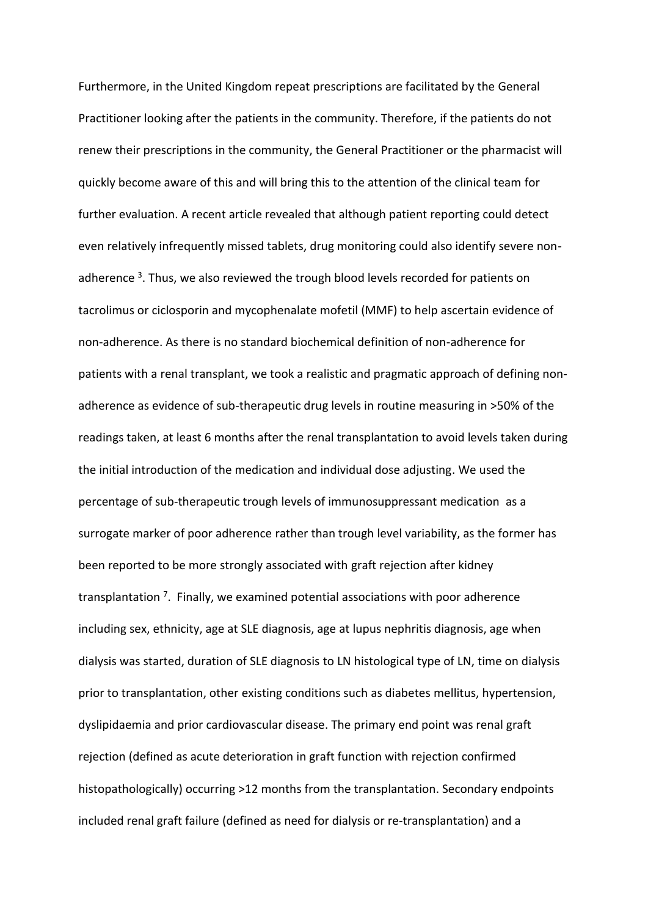Furthermore, in the United Kingdom repeat prescriptions are facilitated by the General Practitioner looking after the patients in the community. Therefore, if the patients do not renew their prescriptions in the community, the General Practitioner or the pharmacist will quickly become aware of this and will bring this to the attention of the clinical team for further evaluation. A recent article revealed that although patient reporting could detect even relatively infrequently missed tablets, drug monitoring could also identify severe nonadherence <sup>3</sup>. Thus, we also reviewed the trough blood levels recorded for patients on tacrolimus or ciclosporin and mycophenalate mofetil (MMF) to help ascertain evidence of non-adherence. As there is no standard biochemical definition of non-adherence for patients with a renal transplant, we took a realistic and pragmatic approach of defining nonadherence as evidence of sub-therapeutic drug levels in routine measuring in >50% of the readings taken, at least 6 months after the renal transplantation to avoid levels taken during the initial introduction of the medication and individual dose adjusting. We used the percentage of sub-therapeutic trough levels of immunosuppressant medication as a surrogate marker of poor adherence rather than trough level variability, as the former has been reported to be more strongly associated with graft rejection after kidney transplantation<sup>7</sup>. Finally, we examined potential associations with poor adherence including sex, ethnicity, age at SLE diagnosis, age at lupus nephritis diagnosis, age when dialysis was started, duration of SLE diagnosis to LN histological type of LN, time on dialysis prior to transplantation, other existing conditions such as diabetes mellitus, hypertension, dyslipidaemia and prior cardiovascular disease. The primary end point was renal graft rejection (defined as acute deterioration in graft function with rejection confirmed histopathologically) occurring >12 months from the transplantation. Secondary endpoints included renal graft failure (defined as need for dialysis or re-transplantation) and a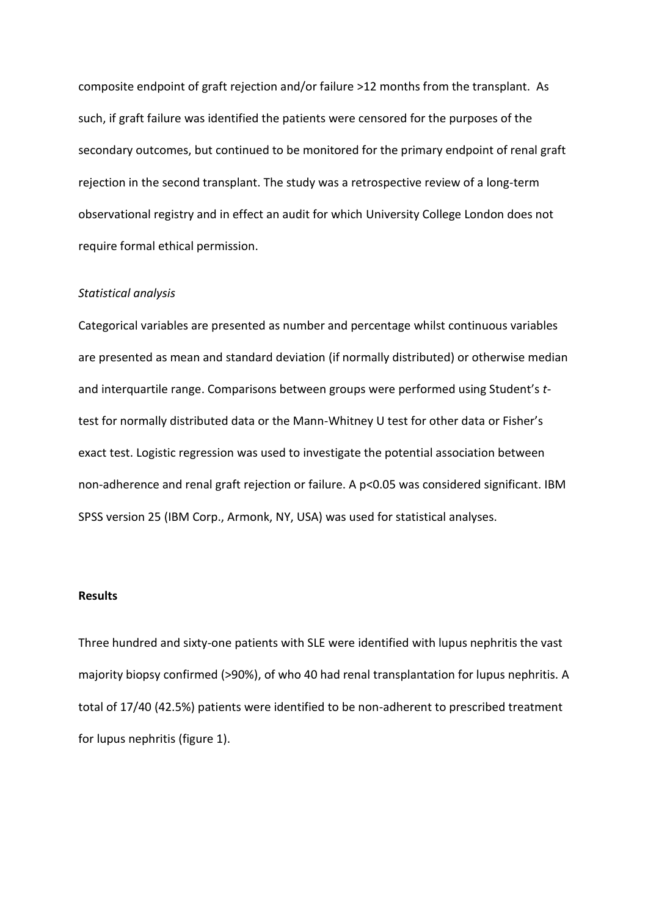composite endpoint of graft rejection and/or failure >12 months from the transplant. As such, if graft failure was identified the patients were censored for the purposes of the secondary outcomes, but continued to be monitored for the primary endpoint of renal graft rejection in the second transplant. The study was a retrospective review of a long-term observational registry and in effect an audit for which University College London does not require formal ethical permission.

### *Statistical analysis*

Categorical variables are presented as number and percentage whilst continuous variables are presented as mean and standard deviation (if normally distributed) or otherwise median and interquartile range. Comparisons between groups were performed using Student's *t*test for normally distributed data or the Mann-Whitney U test for other data or Fisher's exact test. Logistic regression was used to investigate the potential association between non-adherence and renal graft rejection or failure. A p<0.05 was considered significant. IBM SPSS version 25 (IBM Corp., Armonk, NY, USA) was used for statistical analyses.

### **Results**

Three hundred and sixty-one patients with SLE were identified with lupus nephritis the vast majority biopsy confirmed (>90%), of who 40 had renal transplantation for lupus nephritis. A total of 17/40 (42.5%) patients were identified to be non-adherent to prescribed treatment for lupus nephritis (figure 1).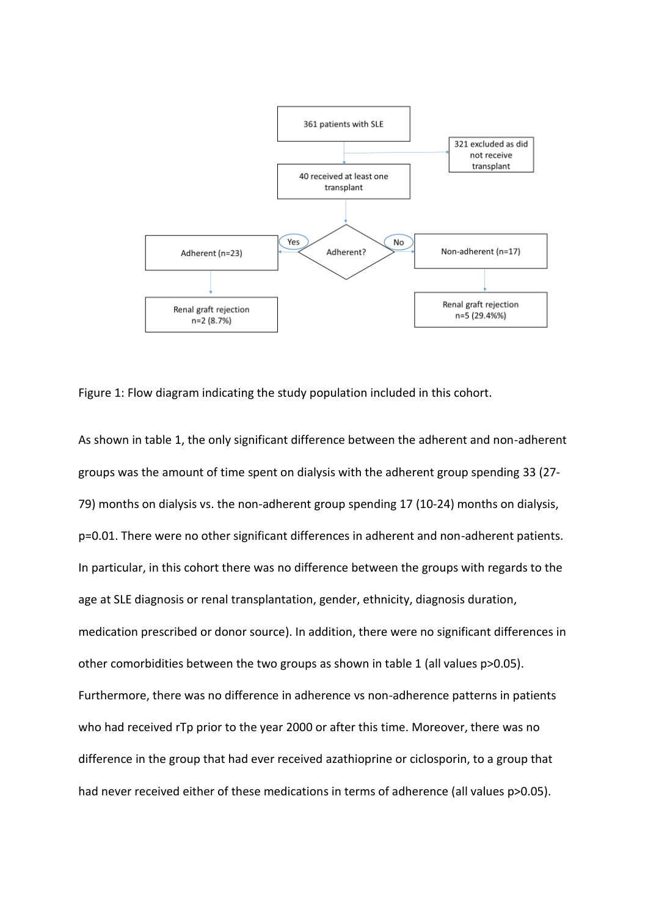

Figure 1: Flow diagram indicating the study population included in this cohort.

As shown in table 1, the only significant difference between the adherent and non-adherent groups was the amount of time spent on dialysis with the adherent group spending 33 (27- 79) months on dialysis vs. the non-adherent group spending 17 (10-24) months on dialysis, p=0.01. There were no other significant differences in adherent and non-adherent patients. In particular, in this cohort there was no difference between the groups with regards to the age at SLE diagnosis or renal transplantation, gender, ethnicity, diagnosis duration, medication prescribed or donor source). In addition, there were no significant differences in other comorbidities between the two groups as shown in table 1 (all values p>0.05). Furthermore, there was no difference in adherence vs non-adherence patterns in patients who had received rTp prior to the year 2000 or after this time. Moreover, there was no difference in the group that had ever received azathioprine or ciclosporin, to a group that had never received either of these medications in terms of adherence (all values p>0.05).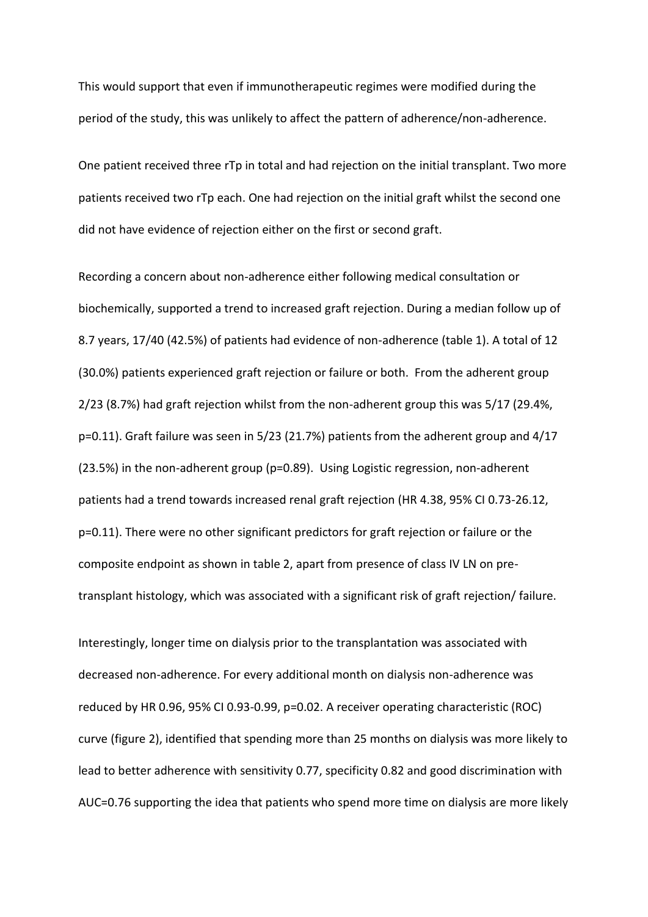This would support that even if immunotherapeutic regimes were modified during the period of the study, this was unlikely to affect the pattern of adherence/non-adherence.

One patient received three rTp in total and had rejection on the initial transplant. Two more patients received two rTp each. One had rejection on the initial graft whilst the second one did not have evidence of rejection either on the first or second graft.

Recording a concern about non-adherence either following medical consultation or biochemically, supported a trend to increased graft rejection. During a median follow up of 8.7 years, 17/40 (42.5%) of patients had evidence of non-adherence (table 1). A total of 12 (30.0%) patients experienced graft rejection or failure or both. From the adherent group 2/23 (8.7%) had graft rejection whilst from the non-adherent group this was 5/17 (29.4%, p=0.11). Graft failure was seen in 5/23 (21.7%) patients from the adherent group and 4/17 (23.5%) in the non-adherent group (p=0.89). Using Logistic regression, non-adherent patients had a trend towards increased renal graft rejection (HR 4.38, 95% CI 0.73-26.12, p=0.11). There were no other significant predictors for graft rejection or failure or the composite endpoint as shown in table 2, apart from presence of class IV LN on pretransplant histology, which was associated with a significant risk of graft rejection/ failure.

Interestingly, longer time on dialysis prior to the transplantation was associated with decreased non-adherence. For every additional month on dialysis non-adherence was reduced by HR 0.96, 95% CI 0.93-0.99, p=0.02. A receiver operating characteristic (ROC) curve (figure 2), identified that spending more than 25 months on dialysis was more likely to lead to better adherence with sensitivity 0.77, specificity 0.82 and good discrimination with AUC=0.76 supporting the idea that patients who spend more time on dialysis are more likely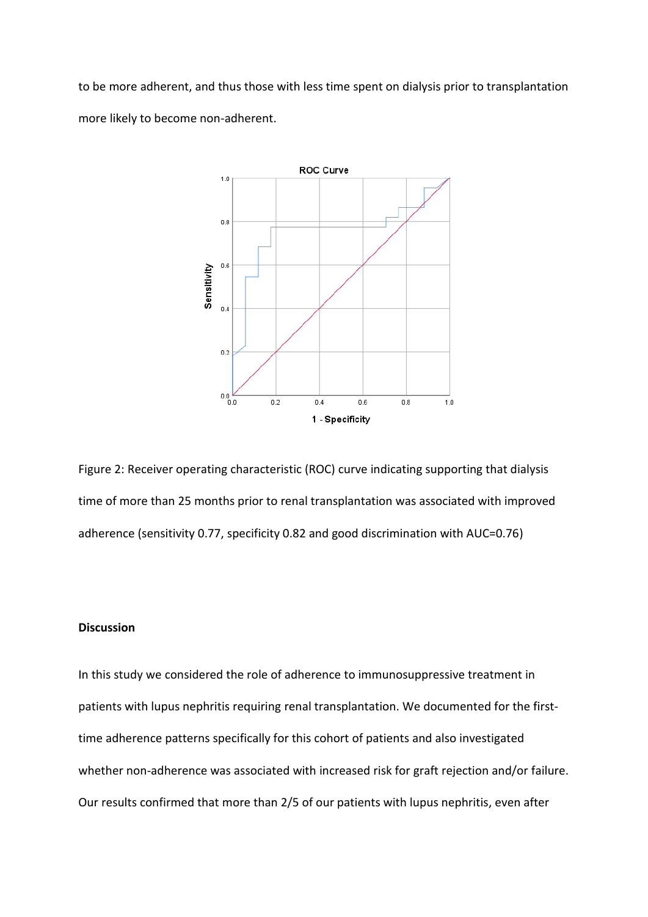to be more adherent, and thus those with less time spent on dialysis prior to transplantation more likely to become non-adherent.



Figure 2: Receiver operating characteristic (ROC) curve indicating supporting that dialysis time of more than 25 months prior to renal transplantation was associated with improved adherence (sensitivity 0.77, specificity 0.82 and good discrimination with AUC=0.76)

## **Discussion**

In this study we considered the role of adherence to immunosuppressive treatment in patients with lupus nephritis requiring renal transplantation. We documented for the firsttime adherence patterns specifically for this cohort of patients and also investigated whether non-adherence was associated with increased risk for graft rejection and/or failure. Our results confirmed that more than 2/5 of our patients with lupus nephritis, even after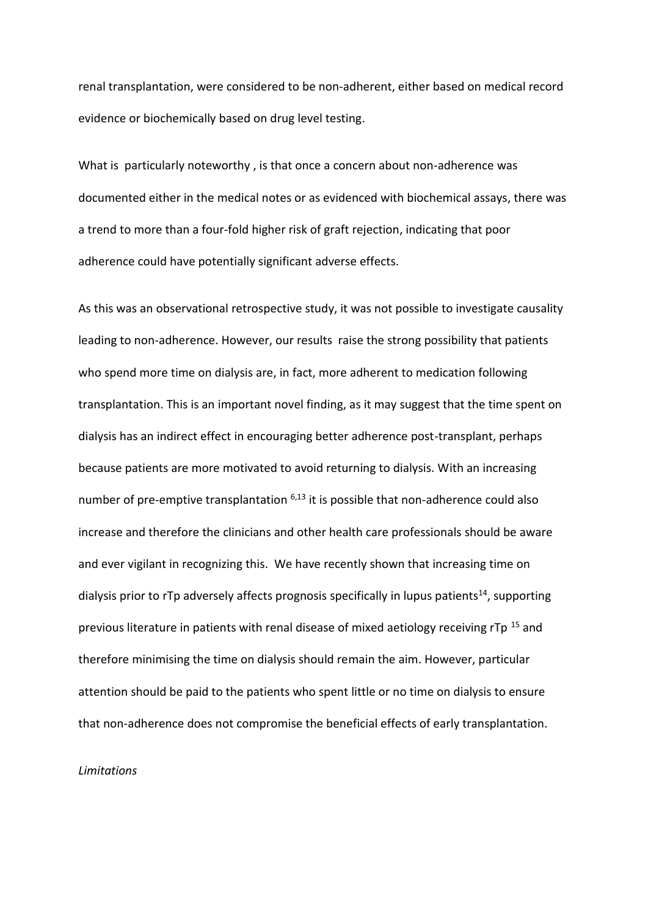renal transplantation, were considered to be non-adherent, either based on medical record evidence or biochemically based on drug level testing.

What is particularly noteworthy , is that once a concern about non-adherence was documented either in the medical notes or as evidenced with biochemical assays, there was a trend to more than a four-fold higher risk of graft rejection, indicating that poor adherence could have potentially significant adverse effects.

As this was an observational retrospective study, it was not possible to investigate causality leading to non-adherence. However, our results raise the strong possibility that patients who spend more time on dialysis are, in fact, more adherent to medication following transplantation. This is an important novel finding, as it may suggest that the time spent on dialysis has an indirect effect in encouraging better adherence post-transplant, perhaps because patients are more motivated to avoid returning to dialysis. With an increasing number of pre-emptive transplantation  $6,13$  it is possible that non-adherence could also increase and therefore the clinicians and other health care professionals should be aware and ever vigilant in recognizing this. We have recently shown that increasing time on dialysis prior to rTp adversely affects prognosis specifically in lupus patients<sup>14</sup>, supporting previous literature in patients with renal disease of mixed aetiology receiving rTp<sup>15</sup> and therefore minimising the time on dialysis should remain the aim. However, particular attention should be paid to the patients who spent little or no time on dialysis to ensure that non-adherence does not compromise the beneficial effects of early transplantation.

#### *Limitations*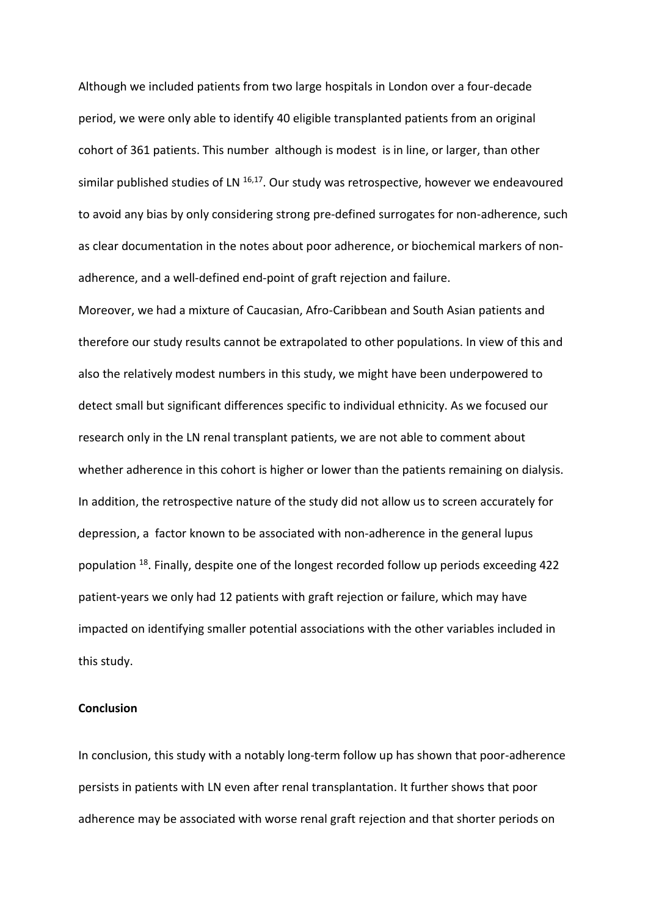Although we included patients from two large hospitals in London over a four-decade period, we were only able to identify 40 eligible transplanted patients from an original cohort of 361 patients. This number although is modest is in line, or larger, than other similar published studies of LN <sup>16,17</sup>. Our study was retrospective, however we endeavoured to avoid any bias by only considering strong pre-defined surrogates for non-adherence, such as clear documentation in the notes about poor adherence, or biochemical markers of nonadherence, and a well-defined end-point of graft rejection and failure.

Moreover, we had a mixture of Caucasian, Afro-Caribbean and South Asian patients and therefore our study results cannot be extrapolated to other populations. In view of this and also the relatively modest numbers in this study, we might have been underpowered to detect small but significant differences specific to individual ethnicity. As we focused our research only in the LN renal transplant patients, we are not able to comment about whether adherence in this cohort is higher or lower than the patients remaining on dialysis. In addition, the retrospective nature of the study did not allow us to screen accurately for depression, a factor known to be associated with non-adherence in the general lupus population <sup>18</sup>. Finally, despite one of the longest recorded follow up periods exceeding 422 patient-years we only had 12 patients with graft rejection or failure, which may have impacted on identifying smaller potential associations with the other variables included in this study.

### **Conclusion**

In conclusion, this study with a notably long-term follow up has shown that poor-adherence persists in patients with LN even after renal transplantation. It further shows that poor adherence may be associated with worse renal graft rejection and that shorter periods on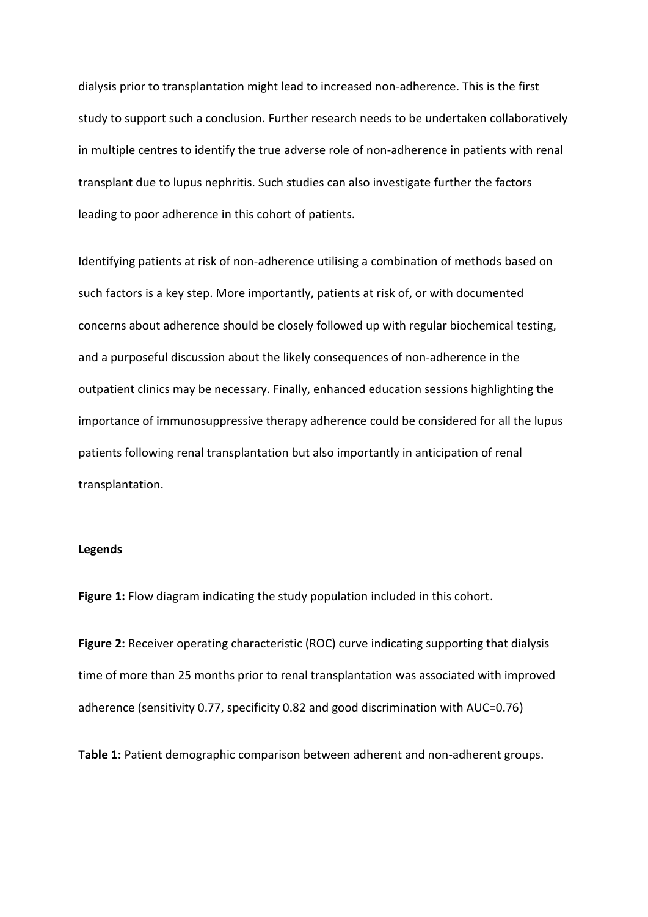dialysis prior to transplantation might lead to increased non-adherence. This is the first study to support such a conclusion. Further research needs to be undertaken collaboratively in multiple centres to identify the true adverse role of non-adherence in patients with renal transplant due to lupus nephritis. Such studies can also investigate further the factors leading to poor adherence in this cohort of patients.

Identifying patients at risk of non-adherence utilising a combination of methods based on such factors is a key step. More importantly, patients at risk of, or with documented concerns about adherence should be closely followed up with regular biochemical testing, and a purposeful discussion about the likely consequences of non-adherence in the outpatient clinics may be necessary. Finally, enhanced education sessions highlighting the importance of immunosuppressive therapy adherence could be considered for all the lupus patients following renal transplantation but also importantly in anticipation of renal transplantation.

### **Legends**

**Figure 1:** Flow diagram indicating the study population included in this cohort.

**Figure 2:** Receiver operating characteristic (ROC) curve indicating supporting that dialysis time of more than 25 months prior to renal transplantation was associated with improved adherence (sensitivity 0.77, specificity 0.82 and good discrimination with AUC=0.76)

**Table 1:** Patient demographic comparison between adherent and non-adherent groups.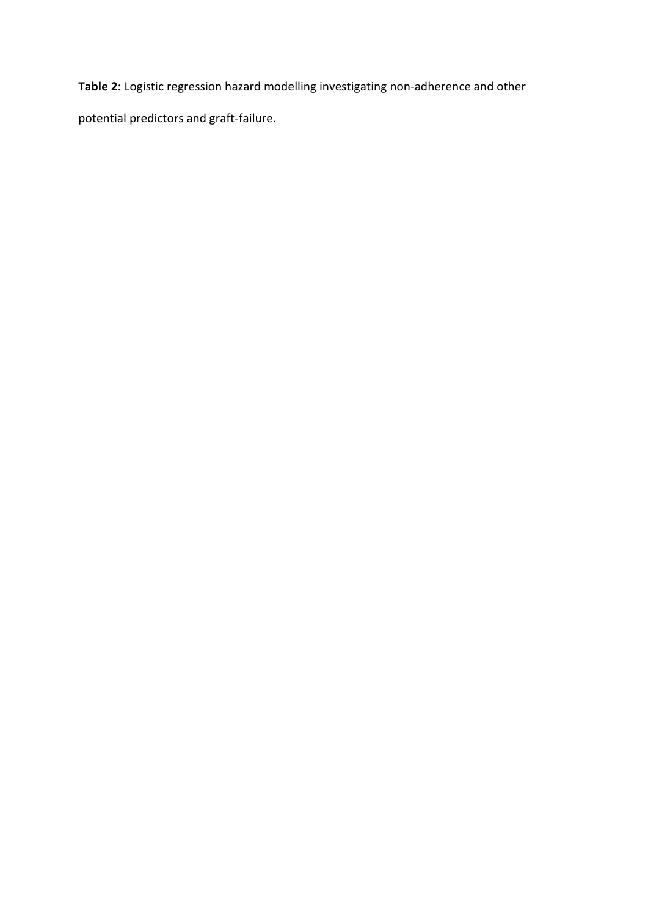**Table 2:** Logistic regression hazard modelling investigating non-adherence and other

potential predictors and graft-failure.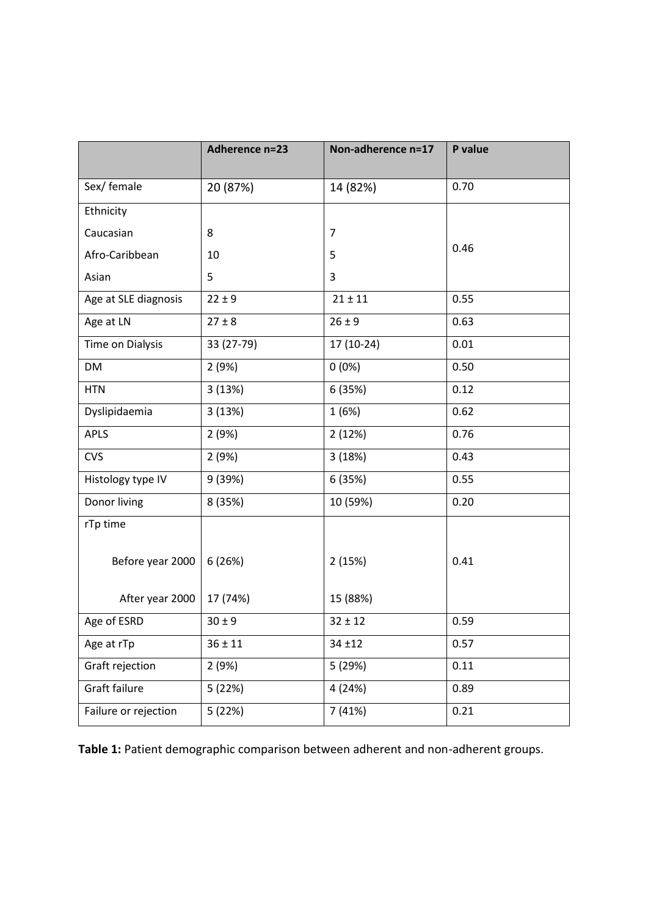|                      | Adherence n=23 | Non-adherence n=17 | P value |
|----------------------|----------------|--------------------|---------|
|                      |                |                    |         |
| Sex/ female          | 20 (87%)       | 14 (82%)           | 0.70    |
| Ethnicity            |                |                    |         |
| Caucasian            | 8              | 7                  |         |
| Afro-Caribbean       | 10             | 5                  | 0.46    |
| Asian                | 5              | 3                  |         |
| Age at SLE diagnosis | $22 \pm 9$     | $21 \pm 11$        | 0.55    |
| Age at LN            | $27 \pm 8$     | $26 \pm 9$         | 0.63    |
| Time on Dialysis     | 33 (27-79)     | 17 (10-24)         | 0.01    |
| <b>DM</b>            | 2(9%)          | $0(0\%)$           | 0.50    |
| <b>HTN</b>           | 3(13%)         | 6 (35%)            | 0.12    |
| Dyslipidaemia        | 3(13%)         | 1(6%)              | 0.62    |
| <b>APLS</b>          | 2(9%)          | 2(12%)             | 0.76    |
| <b>CVS</b>           | 2(9%)          | 3(18%)             | 0.43    |
| Histology type IV    | 9 (39%)        | 6 (35%)            | 0.55    |
| Donor living         | 8 (35%)        | 10 (59%)           | 0.20    |
| rTp time             |                |                    |         |
| Before year 2000     | 6(26%)         | 2(15%)             | 0.41    |
| After year 2000      | 17 (74%)       | 15 (88%)           |         |
| Age of ESRD          | $30 \pm 9$     | $32 \pm 12$        | 0.59    |
| Age at rTp           | $36 \pm 11$    | $34 + 12$          | 0.57    |
| Graft rejection      | 2(9%)          | 5 (29%)            | 0.11    |
| <b>Graft failure</b> | 5 (22%)        | 4 (24%)            | 0.89    |
| Failure or rejection | 5 (22%)        | 7(41%)             | 0.21    |

**Table 1:** Patient demographic comparison between adherent and non-adherent groups.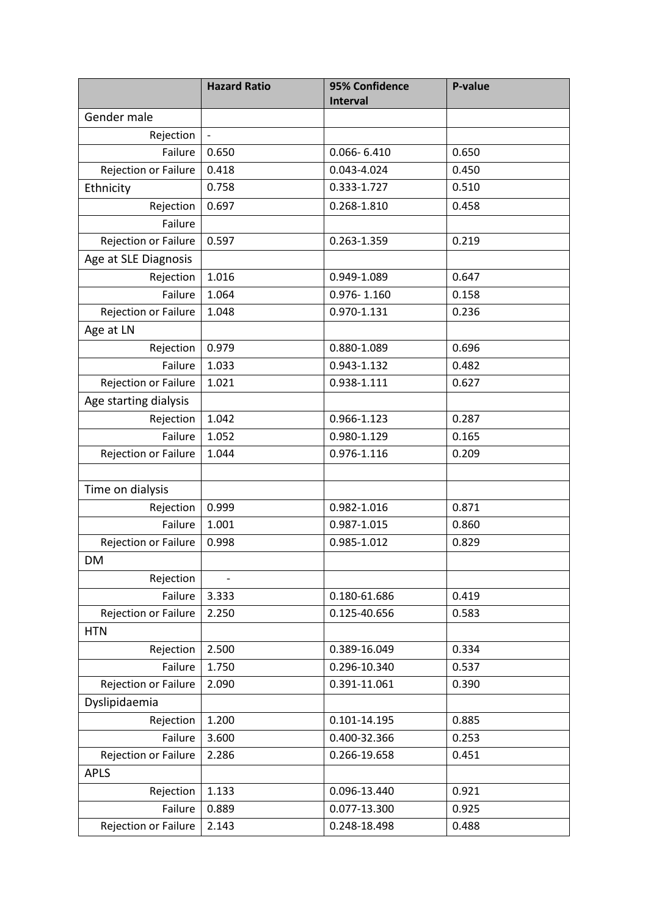|                       | <b>Hazard Ratio</b>      | 95% Confidence<br><b>Interval</b> | P-value |
|-----------------------|--------------------------|-----------------------------------|---------|
| Gender male           |                          |                                   |         |
| Rejection             | $\overline{\phantom{a}}$ |                                   |         |
| Failure               | 0.650                    | $0.066 - 6.410$                   | 0.650   |
| Rejection or Failure  | 0.418                    | 0.043-4.024                       | 0.450   |
| Ethnicity             | 0.758                    | 0.333-1.727                       | 0.510   |
| Rejection             | 0.697                    | 0.268-1.810                       | 0.458   |
| Failure               |                          |                                   |         |
| Rejection or Failure  | 0.597                    | 0.263-1.359                       | 0.219   |
| Age at SLE Diagnosis  |                          |                                   |         |
| Rejection             | 1.016                    | 0.949-1.089                       | 0.647   |
| Failure               | 1.064                    | $0.976 - 1.160$                   | 0.158   |
| Rejection or Failure  | 1.048                    | 0.970-1.131                       | 0.236   |
| Age at LN             |                          |                                   |         |
| Rejection             | 0.979                    | 0.880-1.089                       | 0.696   |
| Failure               | 1.033                    | 0.943-1.132                       | 0.482   |
| Rejection or Failure  | 1.021                    | 0.938-1.111                       | 0.627   |
| Age starting dialysis |                          |                                   |         |
| Rejection             | 1.042                    | 0.966-1.123                       | 0.287   |
| Failure               | 1.052                    | 0.980-1.129                       | 0.165   |
| Rejection or Failure  | 1.044                    | 0.976-1.116                       | 0.209   |
|                       |                          |                                   |         |
| Time on dialysis      |                          |                                   |         |
| Rejection             | 0.999                    | 0.982-1.016                       | 0.871   |
| Failure               | 1.001                    | 0.987-1.015                       | 0.860   |
| Rejection or Failure  | 0.998                    | 0.985-1.012                       | 0.829   |
| DM                    |                          |                                   |         |
| Rejection             | $\frac{1}{2}$            |                                   |         |
| Failure               | 3.333                    | 0.180-61.686                      | 0.419   |
| Rejection or Failure  | 2.250                    | 0.125-40.656                      | 0.583   |
| <b>HTN</b>            |                          |                                   |         |
| Rejection             | 2.500                    | 0.389-16.049                      | 0.334   |
| Failure               | 1.750                    | 0.296-10.340                      | 0.537   |
| Rejection or Failure  | 2.090                    | 0.391-11.061                      | 0.390   |
| Dyslipidaemia         |                          |                                   |         |
| Rejection             | 1.200                    | 0.101-14.195                      | 0.885   |
| Failure               | 3.600                    | 0.400-32.366                      | 0.253   |
| Rejection or Failure  | 2.286                    | 0.266-19.658                      | 0.451   |
| <b>APLS</b>           |                          |                                   |         |
| Rejection             | 1.133                    | 0.096-13.440                      | 0.921   |
| Failure               | 0.889                    | 0.077-13.300                      | 0.925   |
| Rejection or Failure  | 2.143                    | 0.248-18.498                      | 0.488   |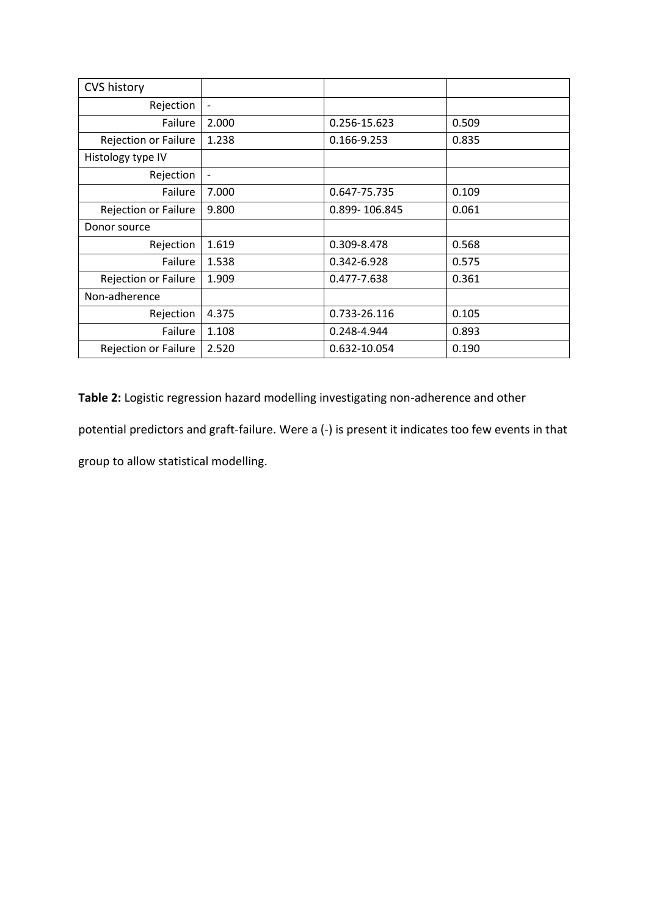| <b>CVS history</b>          |                          |               |       |
|-----------------------------|--------------------------|---------------|-------|
| Rejection                   | $\overline{\phantom{a}}$ |               |       |
| Failure                     | 2.000                    | 0.256-15.623  | 0.509 |
| <b>Rejection or Failure</b> | 1.238                    | 0.166-9.253   | 0.835 |
| Histology type IV           |                          |               |       |
| Rejection                   | $\overline{\phantom{a}}$ |               |       |
| Failure                     | 7.000                    | 0.647-75.735  | 0.109 |
| <b>Rejection or Failure</b> | 9.800                    | 0.899-106.845 | 0.061 |
| Donor source                |                          |               |       |
| Rejection                   | 1.619                    | 0.309-8.478   | 0.568 |
| Failure                     | 1.538                    | 0.342-6.928   | 0.575 |
| <b>Rejection or Failure</b> | 1.909                    | 0.477-7.638   | 0.361 |
| Non-adherence               |                          |               |       |
| Rejection                   | 4.375                    | 0.733-26.116  | 0.105 |
| Failure                     | 1.108                    | 0.248-4.944   | 0.893 |
| <b>Rejection or Failure</b> | 2.520                    | 0.632-10.054  | 0.190 |

**Table 2:** Logistic regression hazard modelling investigating non-adherence and other potential predictors and graft-failure. Were a (-) is present it indicates too few events in that group to allow statistical modelling.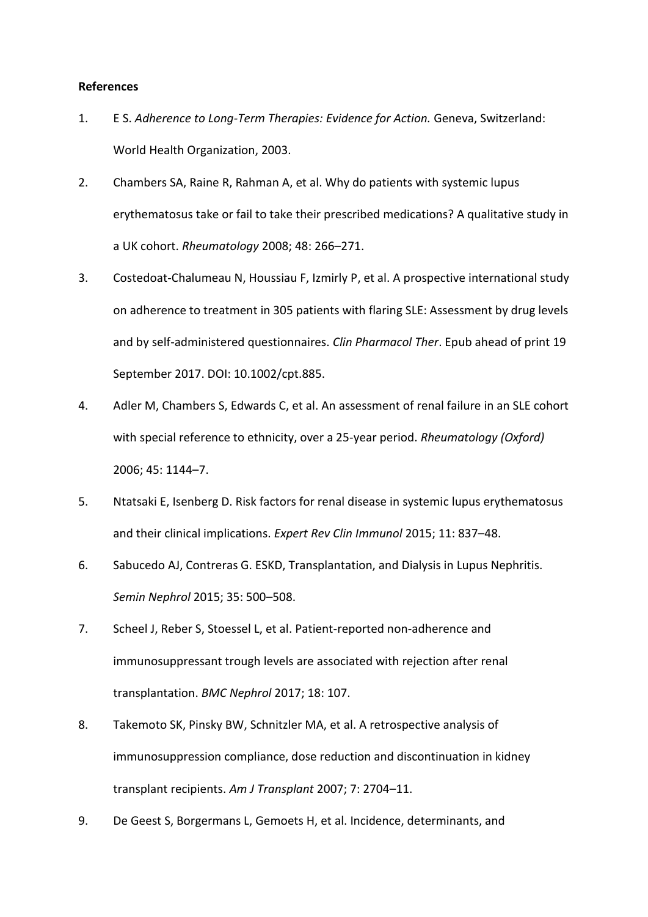### **References**

- 1. E S. *Adherence to Long-Term Therapies: Evidence for Action.* Geneva, Switzerland: World Health Organization, 2003.
- 2. Chambers SA, Raine R, Rahman A, et al. Why do patients with systemic lupus erythematosus take or fail to take their prescribed medications? A qualitative study in a UK cohort. *Rheumatology* 2008; 48: 266–271.
- 3. Costedoat-Chalumeau N, Houssiau F, Izmirly P, et al. A prospective international study on adherence to treatment in 305 patients with flaring SLE: Assessment by drug levels and by self-administered questionnaires. *Clin Pharmacol Ther*. Epub ahead of print 19 September 2017. DOI: 10.1002/cpt.885.
- 4. Adler M, Chambers S, Edwards C, et al. An assessment of renal failure in an SLE cohort with special reference to ethnicity, over a 25-year period. *Rheumatology (Oxford)* 2006; 45: 1144–7.
- 5. Ntatsaki E, Isenberg D. Risk factors for renal disease in systemic lupus erythematosus and their clinical implications. *Expert Rev Clin Immunol* 2015; 11: 837–48.
- 6. Sabucedo AJ, Contreras G. ESKD, Transplantation, and Dialysis in Lupus Nephritis. *Semin Nephrol* 2015; 35: 500–508.
- 7. Scheel J, Reber S, Stoessel L, et al. Patient-reported non-adherence and immunosuppressant trough levels are associated with rejection after renal transplantation. *BMC Nephrol* 2017; 18: 107.
- 8. Takemoto SK, Pinsky BW, Schnitzler MA, et al. A retrospective analysis of immunosuppression compliance, dose reduction and discontinuation in kidney transplant recipients. *Am J Transplant* 2007; 7: 2704–11.
- 9. De Geest S, Borgermans L, Gemoets H, et al. Incidence, determinants, and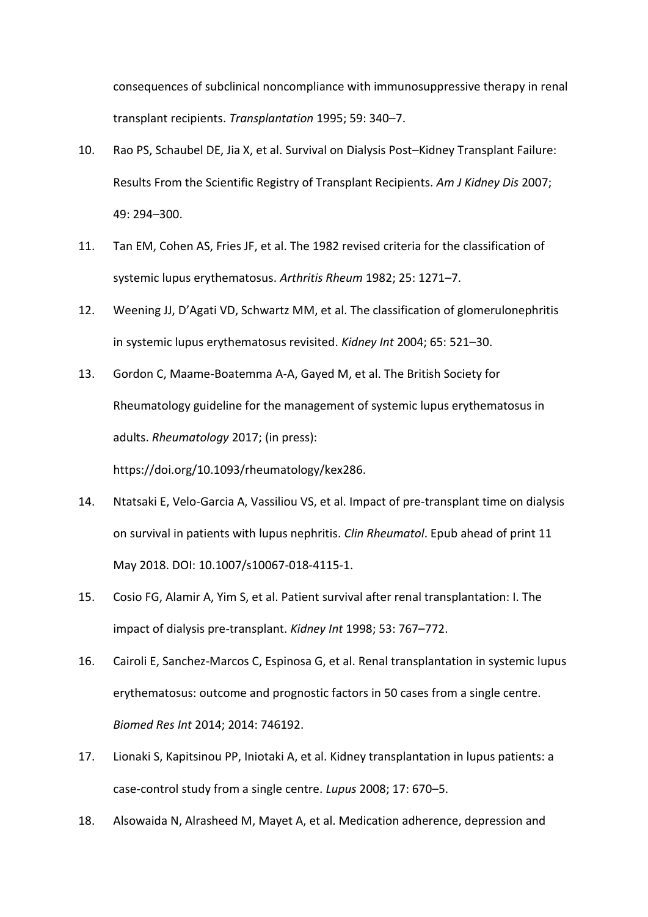consequences of subclinical noncompliance with immunosuppressive therapy in renal transplant recipients. *Transplantation* 1995; 59: 340–7.

- 10. Rao PS, Schaubel DE, Jia X, et al. Survival on Dialysis Post–Kidney Transplant Failure: Results From the Scientific Registry of Transplant Recipients. *Am J Kidney Dis* 2007; 49: 294–300.
- 11. Tan EM, Cohen AS, Fries JF, et al. The 1982 revised criteria for the classification of systemic lupus erythematosus. *Arthritis Rheum* 1982; 25: 1271–7.
- 12. Weening JJ, D'Agati VD, Schwartz MM, et al. The classification of glomerulonephritis in systemic lupus erythematosus revisited. *Kidney Int* 2004; 65: 521–30.
- 13. Gordon C, Maame-Boatemma A-A, Gayed M, et al. The British Society for Rheumatology guideline for the management of systemic lupus erythematosus in adults. *Rheumatology* 2017; (in press): https://doi.org/10.1093/rheumatology/kex286.
- 14. Ntatsaki E, Velo-Garcia A, Vassiliou VS, et al. Impact of pre-transplant time on dialysis on survival in patients with lupus nephritis. *Clin Rheumatol*. Epub ahead of print 11 May 2018. DOI: 10.1007/s10067-018-4115-1.
- 15. Cosio FG, Alamir A, Yim S, et al. Patient survival after renal transplantation: I. The impact of dialysis pre-transplant. *Kidney Int* 1998; 53: 767–772.
- 16. Cairoli E, Sanchez-Marcos C, Espinosa G, et al. Renal transplantation in systemic lupus erythematosus: outcome and prognostic factors in 50 cases from a single centre. *Biomed Res Int* 2014; 2014: 746192.
- 17. Lionaki S, Kapitsinou PP, Iniotaki A, et al. Kidney transplantation in lupus patients: a case-control study from a single centre. *Lupus* 2008; 17: 670–5.
- 18. Alsowaida N, Alrasheed M, Mayet A, et al. Medication adherence, depression and